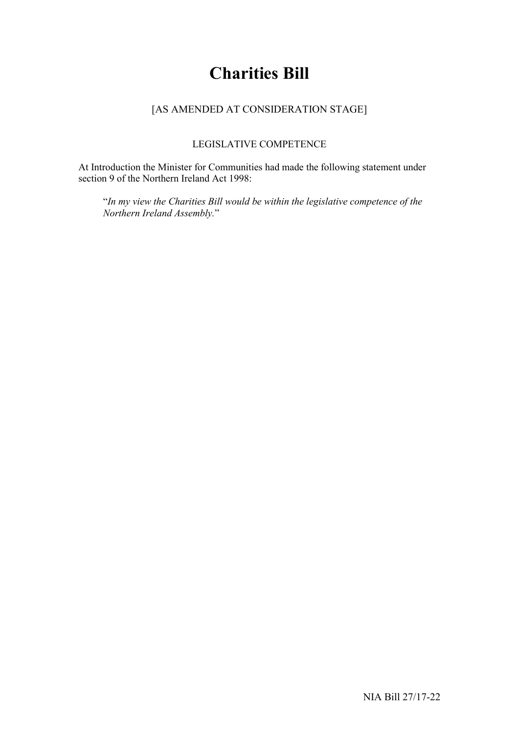# **Charities Bill**

## [AS AMENDED AT CONSIDERATION STAGE]

## LEGISLATIVE COMPETENCE

At Introduction the Minister for Communities had made the following statement under section 9 of the Northern Ireland Act 1998:

"*In my view the Charities Bill would be within the legislative competence of the Northern Ireland Assembly.*"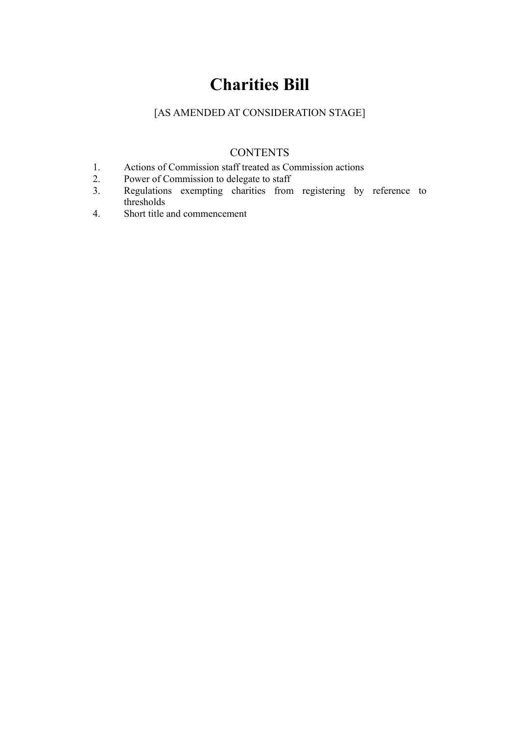# **Charities Bill**

## [AS AMENDED AT CONSIDERATION STAGE]

## **CONTENTS**

- 1. Actions of Commission staff treated as Commission actions
- 2. Power of Commission to delegate to staff<br>3. Regulations exempting charities from
- Regulations exempting charities from registering by reference to thresholds
- 4. Short title and commencement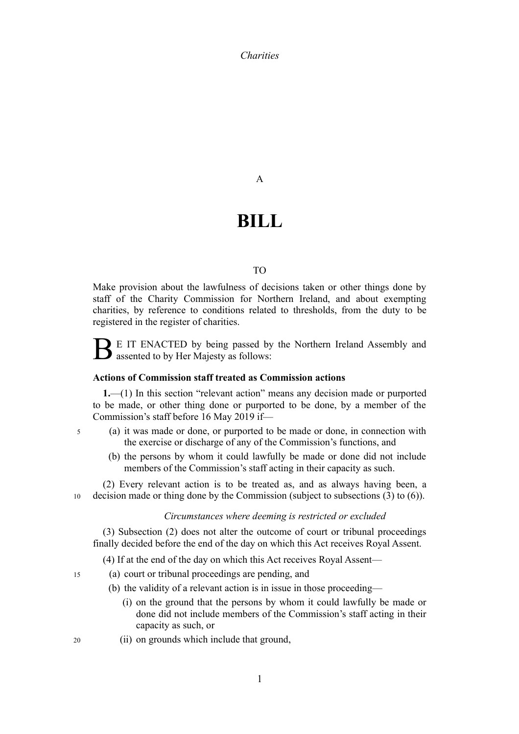## **BILL**

#### TO

Make provision about the lawfulness of decisions taken or other things done by staff of the Charity Commission for Northern Ireland, and about exempting charities, by reference to conditions related to thresholds, from the duty to be registered in the register of charities.

E IT ENACTED by being passed by the Northern Ireland Assembly and assented to by Her Majesty as follows:

#### **Actions of Commission staff treated as Commission actions**

5

15

20

**1.**—(1) In this section "relevant action" means any decision made or purported to be made, or other thing done or purported to be done, by a member of the Commission's staff before 16 May 2019 if—

- (a) it was made or done, or purported to be made or done, in connection with the exercise or discharge of any of the Commission's functions, and
	- (b) the persons by whom it could lawfully be made or done did not include members of the Commission's staff acting in their capacity as such.

<span id="page-4-1"></span>(2) Every relevant action is to be treated as, and as always having been, a decision made or thing done by the Commission (subject to subsections [\(3\)](#page-4-0) to [\(6\)\)](#page-5-0). 10

#### *Circumstances where deeming is restricted or excluded*

<span id="page-4-0"></span>(3) Subsection [\(2\)](#page-4-1) does not alter the outcome of court or tribunal proceedings finally decided before the end of the day on which this Act receives Royal Assent.

(4) If at the end of the day on which this Act receives Royal Assent—

(a) court or tribunal proceedings are pending, and

- (b) the validity of a relevant action is in issue in those proceeding—
	- (i) on the ground that the persons by whom it could lawfully be made or done did not include members of the Commission's staff acting in their capacity as such, or
- (ii) on grounds which include that ground,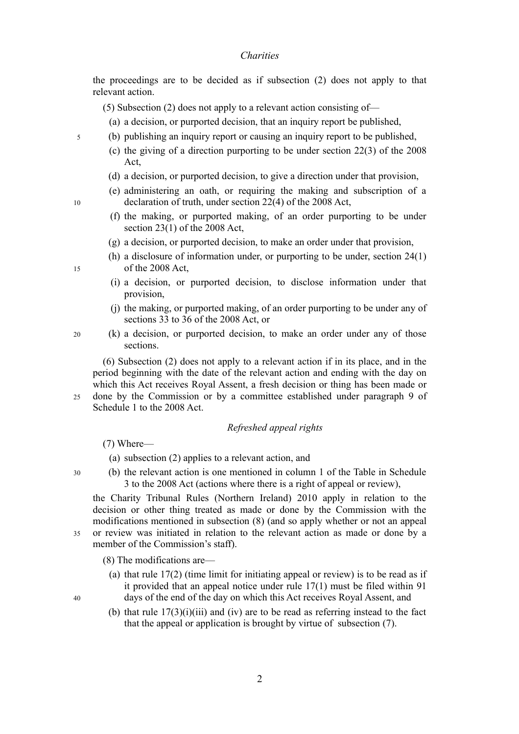the proceedings are to be decided as if subsection [\(2\)](#page-4-1) does not apply to that relevant action.

(5) Subsection [\(2\)](#page-4-1) does not apply to a relevant action consisting of—

- (a) a decision, or purported decision, that an inquiry report be published,
- (b) publishing an inquiry report or causing an inquiry report to be published,
	- (c) the giving of a direction purporting to be under section 22(3) of the 2008 Act,
	- (d) a decision, or purported decision, to give a direction under that provision,
	- (e) administering an oath, or requiring the making and subscription of a declaration of truth, under section 22(4) of the 2008 Act,
	- (f) the making, or purported making, of an order purporting to be under section 23(1) of the 2008 Act,
	- (g) a decision, or purported decision, to make an order under that provision,
	- (h) a disclosure of information under, or purporting to be under, section 24(1) of the 2008 Act,
	- (i) a decision, or purported decision, to disclose information under that provision,
	- (j) the making, or purported making, of an order purporting to be under any of sections 33 to 36 of the 2008 Act, or
- (k) a decision, or purported decision, to make an order under any of those sections.

<span id="page-5-0"></span>(6) Subsection [\(2\)](#page-4-1) does not apply to a relevant action if in its place, and in the period beginning with the date of the relevant action and ending with the day on which this Act receives Royal Assent, a fresh decision or thing has been made or

done by the Commission or by a committee established under paragraph 9 of Schedule 1 to the 2008 Act. 25

#### *Refreshed appeal rights*

<span id="page-5-1"></span>(7) Where—

(a) subsection [\(2\)](#page-4-1) applies to a relevant action, and

30

35

(b) the relevant action is one mentioned in column 1 of the Table in Schedule 3 to the 2008 Act (actions where there is a right of appeal or review),

the Charity Tribunal Rules (Northern Ireland) 2010 apply in relation to the decision or other thing treated as made or done by the Commission with the modifications mentioned in subsection [\(8\)](#page-5-2) (and so apply whether or not an appeal or review was initiated in relation to the relevant action as made or done by a

member of the Commission's staff).

- <span id="page-5-2"></span>(8) The modifications are—
	- (a) that rule  $17(2)$  (time limit for initiating appeal or review) is to be read as if it provided that an appeal notice under rule 17(1) must be filed within 91 days of the end of the day on which this Act receives Royal Assent, and

40

(b) that rule  $17(3)(i)(iii)$  and (iv) are to be read as referring instead to the fact that the appeal or application is brought by virtue of subsection [\(7\).](#page-5-1)

10

15

20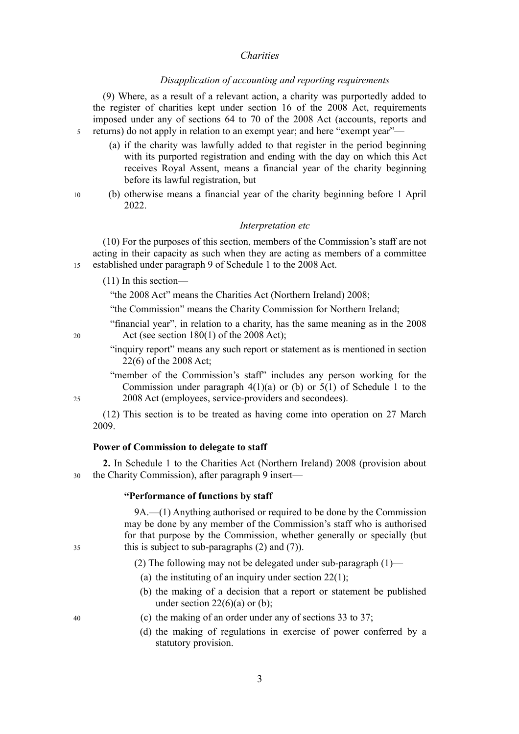#### *Disapplication of accounting and reporting requirements*

(9) Where, as a result of a relevant action, a charity was purportedly added to the register of charities kept under section 16 of the 2008 Act, requirements imposed under any of sections 64 to 70 of the 2008 Act (accounts, reports and returns) do not apply in relation to an exempt year; and here "exempt year"—

- (a) if the charity was lawfully added to that register in the period beginning with its purported registration and ending with the day on which this Act receives Royal Assent, means a financial year of the charity beginning before its lawful registration, but
- (b) otherwise means a financial year of the charity beginning before 1 April 2022. 10

#### *Interpretation etc*

(10) For the purposes of this section, members of the Commission's staff are not acting in their capacity as such when they are acting as members of a committee established under paragraph 9 of Schedule 1 to the 2008 Act. 15

(11) In this section—

"the 2008 Act" means the Charities Act (Northern Ireland) 2008;

"the Commission" means the Charity Commission for Northern Ireland;

"financial year", in relation to a charity, has the same meaning as in the 2008 Act (see section 180(1) of the 2008 Act);

20

 $25$ 

5

- "inquiry report" means any such report or statement as is mentioned in section 22(6) of the 2008 Act;
- "member of the Commission's staff" includes any person working for the Commission under paragraph  $4(1)(a)$  or (b) or  $5(1)$  of Schedule 1 to the 2008 Act (employees, service-providers and secondees).

(12) This section is to be treated as having come into operation on 27 March 2009.

#### **Power of Commission to delegate to staff**

**2.** In Schedule 1 to the Charities Act (Northern Ireland) 2008 (provision about the Charity Commission), after paragraph 9 insert— 30

#### **"Performance of functions by staff**

9A.—(1) Anything authorised or required to be done by the Commission may be done by any member of the Commission's staff who is authorised for that purpose by the Commission, whether generally or specially (but this is subject to sub-paragraphs (2) and (7)).

(2) The following may not be delegated under sub-paragraph  $(1)$ —

- (a) the instituting of an inquiry under section  $22(1)$ ;
- (b) the making of a decision that a report or statement be published under section  $22(6)(a)$  or (b);
- (c) the making of an order under any of sections 33 to 37;
- (d) the making of regulations in exercise of power conferred by a statutory provision.

40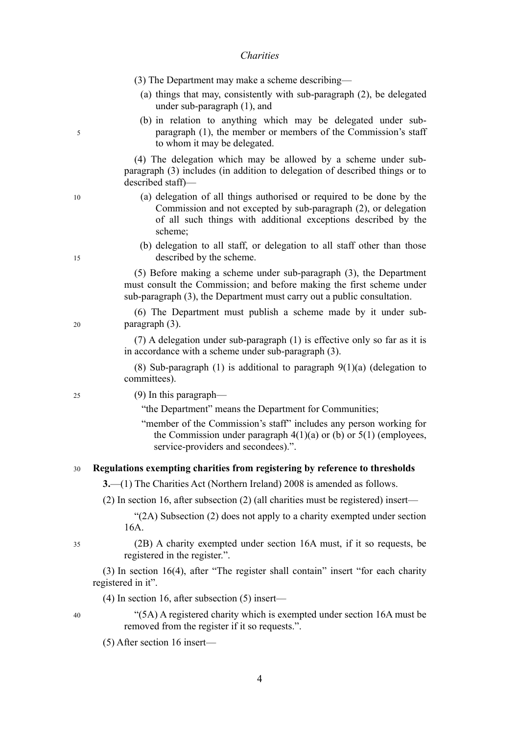|    | (3) The Department may make a scheme describing—                                                                                                                                                                       |
|----|------------------------------------------------------------------------------------------------------------------------------------------------------------------------------------------------------------------------|
|    | (a) things that may, consistently with sub-paragraph (2), be delegated<br>under sub-paragraph $(1)$ , and                                                                                                              |
| 5  | (b) in relation to anything which may be delegated under sub-<br>paragraph (1), the member or members of the Commission's staff<br>to whom it may be delegated.                                                        |
|    | (4) The delegation which may be allowed by a scheme under sub-<br>paragraph (3) includes (in addition to delegation of described things or to<br>described staff)-                                                     |
| 10 | (a) delegation of all things authorised or required to be done by the<br>Commission and not excepted by sub-paragraph (2), or delegation<br>of all such things with additional exceptions described by the<br>scheme;  |
| 15 | (b) delegation to all staff, or delegation to all staff other than those<br>described by the scheme.                                                                                                                   |
|    | (5) Before making a scheme under sub-paragraph (3), the Department<br>must consult the Commission; and before making the first scheme under<br>sub-paragraph (3), the Department must carry out a public consultation. |
| 20 | (6) The Department must publish a scheme made by it under sub-<br>paragraph $(3)$ .                                                                                                                                    |
|    | (7) A delegation under sub-paragraph (1) is effective only so far as it is<br>in accordance with a scheme under sub-paragraph (3).                                                                                     |
|    | (8) Sub-paragraph (1) is additional to paragraph $9(1)(a)$ (delegation to<br>committees).                                                                                                                              |
| 25 | $(9)$ In this paragraph—                                                                                                                                                                                               |
|    | "the Department" means the Department for Communities;                                                                                                                                                                 |
|    | "member of the Commission's staff" includes any person working for<br>the Commission under paragraph $4(1)(a)$ or (b) or $5(1)$ (employees,<br>service-providers and secondees).".                                     |
| 30 | Regulations exempting charities from registering by reference to thresholds                                                                                                                                            |
|    | $3$ . $-$ (1) The Charities Act (Northern Ireland) 2008 is amended as follows.                                                                                                                                         |
|    | $(2)$ In section 16, after subsection $(2)$ (all charities must be registered) insert—                                                                                                                                 |
|    | "(2A) Subsection (2) does not apply to a charity exempted under section<br>16A.                                                                                                                                        |
| 35 | (2B) A charity exempted under section 16A must, if it so requests, be<br>registered in the register.".                                                                                                                 |
|    | $(3)$ In section 16(4), after "The register shall contain" insert "for each charity<br>registered in it".                                                                                                              |
|    | $(4)$ In section 16, after subsection $(5)$ insert—                                                                                                                                                                    |
| 40 | "(5A) A registered charity which is exempted under section 16A must be<br>removed from the register if it so requests.".                                                                                               |
|    |                                                                                                                                                                                                                        |

(5) After section 16 insert—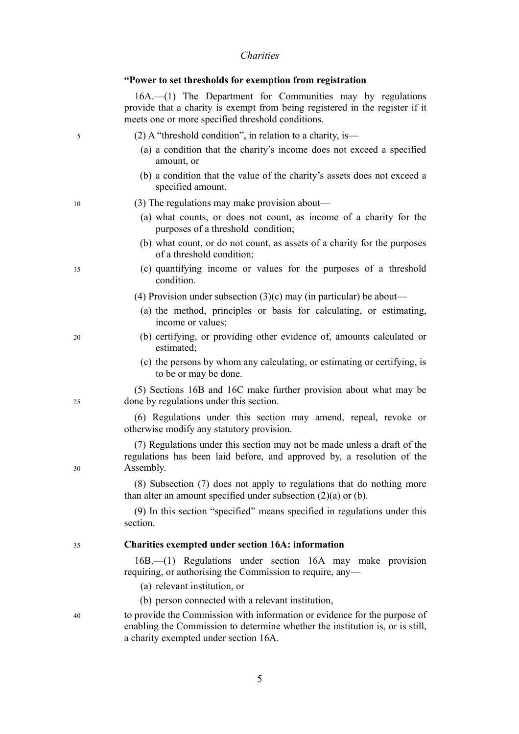|    | "Power to set thresholds for exemption from registration                                                                                                                                            |
|----|-----------------------------------------------------------------------------------------------------------------------------------------------------------------------------------------------------|
|    | $16A$ . (1) The Department for Communities may by regulations<br>provide that a charity is exempt from being registered in the register if it<br>meets one or more specified threshold conditions.  |
| 5  | $(2)$ A "threshold condition", in relation to a charity, is—                                                                                                                                        |
|    | (a) a condition that the charity's income does not exceed a specified<br>amount, or                                                                                                                 |
|    | (b) a condition that the value of the charity's assets does not exceed a<br>specified amount.                                                                                                       |
| 10 | (3) The regulations may make provision about—                                                                                                                                                       |
|    | (a) what counts, or does not count, as income of a charity for the<br>purposes of a threshold condition;                                                                                            |
|    | (b) what count, or do not count, as assets of a charity for the purposes<br>of a threshold condition;                                                                                               |
| 15 | (c) quantifying income or values for the purposes of a threshold<br>condition.                                                                                                                      |
|    | (4) Provision under subsection $(3)(c)$ may (in particular) be about—                                                                                                                               |
|    | (a) the method, principles or basis for calculating, or estimating,<br>income or values;                                                                                                            |
| 20 | (b) certifying, or providing other evidence of, amounts calculated or<br>estimated;                                                                                                                 |
|    | (c) the persons by whom any calculating, or estimating or certifying, is<br>to be or may be done.                                                                                                   |
| 25 | (5) Sections 16B and 16C make further provision about what may be<br>done by regulations under this section.                                                                                        |
|    | (6) Regulations under this section may amend, repeal, revoke or<br>otherwise modify any statutory provision.                                                                                        |
| 30 | (7) Regulations under this section may not be made unless a draft of the<br>regulations has been laid before, and approved by, a resolution of the<br>Assembly.                                     |
|    | (8) Subsection (7) does not apply to regulations that do nothing more<br>than alter an amount specified under subsection $(2)(a)$ or $(b)$ .                                                        |
|    | (9) In this section "specified" means specified in regulations under this<br>section.                                                                                                               |
| 35 | <b>Charities exempted under section 16A: information</b>                                                                                                                                            |
|    | 16B.-(1) Regulations under section 16A may make provision<br>requiring, or authorising the Commission to require, any-                                                                              |
|    | (a) relevant institution, or                                                                                                                                                                        |
|    | (b) person connected with a relevant institution,                                                                                                                                                   |
| 40 | to provide the Commission with information or evidence for the purpose of<br>enabling the Commission to determine whether the institution is, or is still,<br>a charity exempted under section 16A. |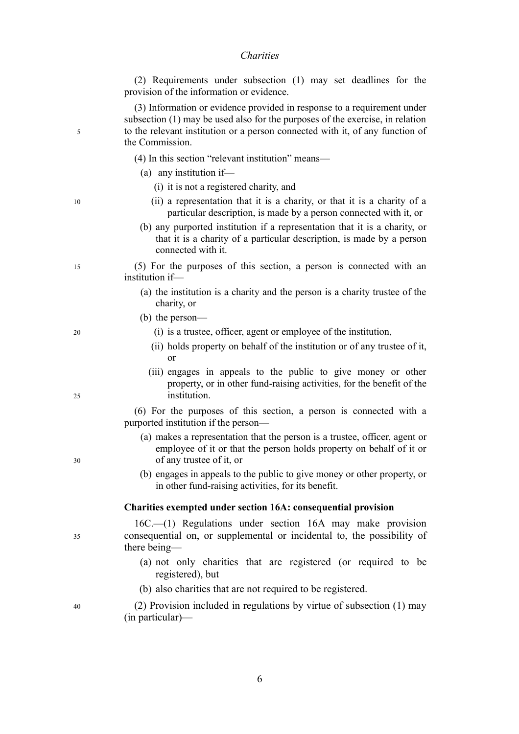(2) Requirements under subsection (1) may set deadlines for the provision of the information or evidence.

(3) Information or evidence provided in response to a requirement under subsection (1) may be used also for the purposes of the exercise, in relation to the relevant institution or a person connected with it, of any function of the Commission.

(4) In this section "relevant institution" means—

- (a) any institution if—
	- (i) it is not a registered charity, and
	- (ii) a representation that it is a charity, or that it is a charity of a particular description, is made by a person connected with it, or
- (b) any purported institution if a representation that it is a charity, or that it is a charity of a particular description, is made by a person connected with it.

(5) For the purposes of this section, a person is connected with an institution if—

- (a) the institution is a charity and the person is a charity trustee of the charity, or
- (b) the person—
	- (i) is a trustee, officer, agent or employee of the institution,
	- (ii) holds property on behalf of the institution or of any trustee of it, or
	- (iii) engages in appeals to the public to give money or other property, or in other fund-raising activities, for the benefit of the institution.

(6) For the purposes of this section, a person is connected with a purported institution if the person—

- (a) makes a representation that the person is a trustee, officer, agent or employee of it or that the person holds property on behalf of it or of any trustee of it, or
- (b) engages in appeals to the public to give money or other property, or in other fund-raising activities, for its benefit.

#### **Charities exempted under section 16A: consequential provision**

16C.—(1) Regulations under section 16A may make provision consequential on, or supplemental or incidental to, the possibility of there being—

- (a) not only charities that are registered (or required to be registered), but
- (b) also charities that are not required to be registered.

(2) Provision included in regulations by virtue of subsection (1) may (in particular)—

15

10

5

25

30

 $20$ 

35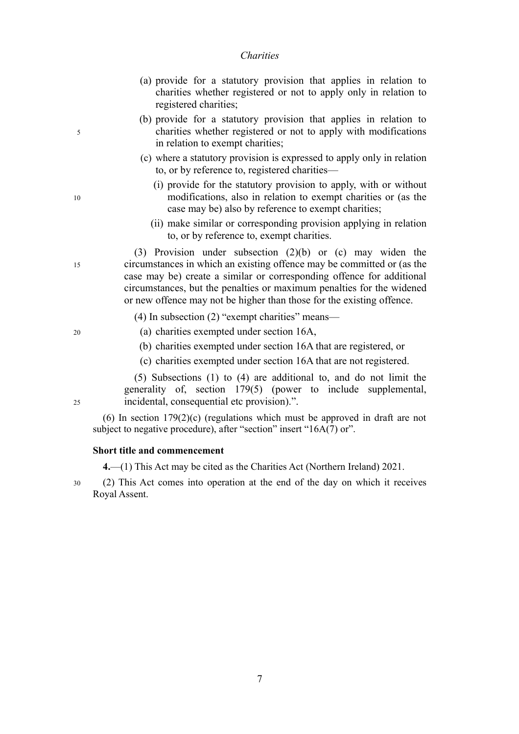- (a) provide for a statutory provision that applies in relation to charities whether registered or not to apply only in relation to registered charities;
- (b) provide for a statutory provision that applies in relation to charities whether registered or not to apply with modifications in relation to exempt charities;
- (c) where a statutory provision is expressed to apply only in relation to, or by reference to, registered charities—
	- (i) provide for the statutory provision to apply, with or without modifications, also in relation to exempt charities or (as the case may be) also by reference to exempt charities;
	- (ii) make similar or corresponding provision applying in relation to, or by reference to, exempt charities.

(3) Provision under subsection (2)(b) or (c) may widen the circumstances in which an existing offence may be committed or (as the case may be) create a similar or corresponding offence for additional circumstances, but the penalties or maximum penalties for the widened or new offence may not be higher than those for the existing offence.

(4) In subsection (2) "exempt charities" means—

- (a) charities exempted under section 16A,
- (b) charities exempted under section 16A that are registered, or
- (c) charities exempted under section 16A that are not registered.

(5) Subsections (1) to (4) are additional to, and do not limit the generality of, section 179(5) (power to include supplemental, incidental, consequential etc provision).".

(6) In section  $179(2)(c)$  (regulations which must be approved in draft are not subject to negative procedure), after "section" insert "16A(7) or".

#### **Short title and commencement**

**4.**—(1) This Act may be cited as the Charities Act (Northern Ireland) 2021.

(2) This Act comes into operation at the end of the day on which it receives Royal Assent. 30

10

15

5

20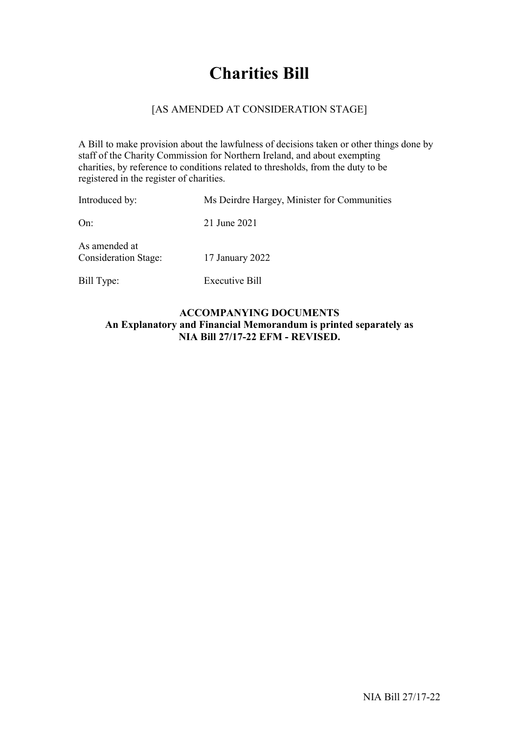# **Charities Bill**

## [AS AMENDED AT CONSIDERATION STAGE]

A Bill to make provision about the lawfulness of decisions taken or other things done by staff of the Charity Commission for Northern Ireland, and about exempting charities, by reference to conditions related to thresholds, from the duty to be registered in the register of charities.

| Introduced by:                               | Ms Deirdre Hargey, Minister for Communities |  |
|----------------------------------------------|---------------------------------------------|--|
| On:                                          | 21 June 2021                                |  |
| As amended at<br><b>Consideration Stage:</b> | 17 January 2022                             |  |
| Bill Type:                                   | <b>Executive Bill</b>                       |  |

## **ACCOMPANYING DOCUMENTS An Explanatory and Financial Memorandum is printed separately as NIA Bill 27/17-22 EFM - REVISED.**